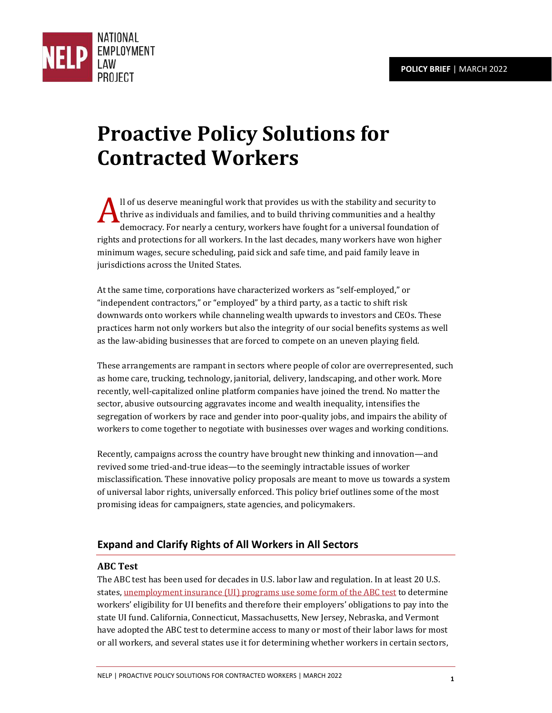

# **Proactive Policy Solutions for Contracted Workers**

ll of us deserve meaningful work that provides us with the stability and security to thrive as individuals and families, and to build thriving communities and a healthy democracy. For nearly a century, workers have fought for a universal foundation of rights and protections for all workers. In the last decades, many workers have won higher minimum wages, secure scheduling, paid sick and safe time, and paid family leave in jurisdictions across the United States.  $\mathbf{A}_\text{\tiny{th}}^\text{\tiny{II}}$ 

At the same time, corporations have characterized workers as "self-employed," or "independent contractors," or "employed" by a third party, as a tactic to shift risk downwards onto workers while channeling wealth upwards to investors and CEOs. These practices harm not only workers but also the integrity of our social benefits systems as well as the law-abiding businesses that are forced to compete on an uneven playing field.

These arrangements are rampant in sectors where people of color are overrepresented, such as home care, trucking, technology, janitorial, delivery, landscaping, and other work. More recently, well-capitalized online platform companies have joined the trend. No matter the sector, abusive outsourcing aggravates income and wealth inequality, intensifies the segregation of workers by race and gender into poor-quality jobs, and impairs the ability of workers to come together to negotiate with businesses over wages and working conditions.

Recently, campaigns across the country have brought new thinking and innovation—and revived some tried-and-true ideas—to the seemingly intractable issues of worker misclassification. These innovative policy proposals are meant to move us towards a system of universal labor rights, universally enforced. This policy brief outlines some of the most promising ideas for campaigners, state agencies, and policymakers.

# **Expand and Clarify Rights of All Workers in All Sectors**

# **ABC Test**

The ABC test has been used for decades in U.S. labor law and regulation. In at least 20 U.S. states[, unemployment insurance \(UI\) programs use some form of the ABC test](https://crsreports.congress.gov/product/pdf/R/R46765) to determine workers' eligibility for UI benefits and therefore their employers' obligations to pay into the state UI fund. California, Connecticut, Massachusetts, New Jersey, Nebraska, and Vermont have adopted the ABC test to determine access to many or most of their labor laws for most or all workers, and several states use it for determining whether workers in certain sectors,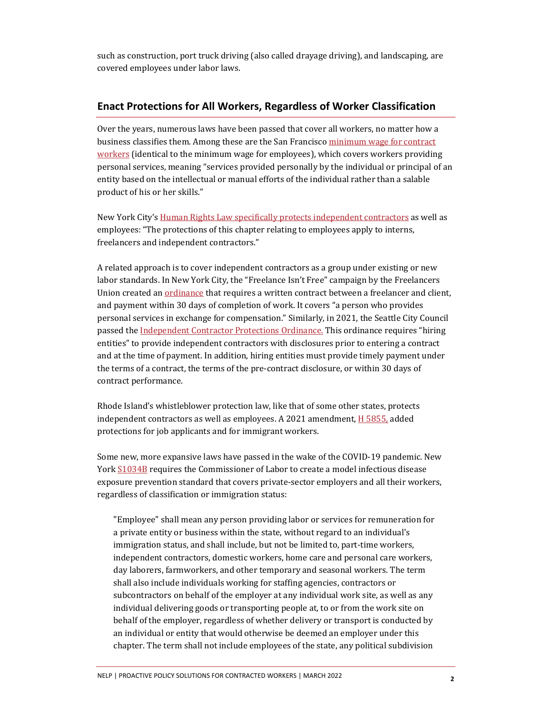such as construction, port truck driving (also called drayage driving), and landscaping, are covered employees under labor laws.

## **Enact Protections for All Workers, Regardless of Worker Classification**

Over the years, numerous laws have been passed that cover all workers, no matter how a business classifies them. Among these are the San Francisco [minimum wage for contract](https://codelibrary.amlegal.com/codes/san_francisco/latest/sf_admin/0-0-0-8804)  [workers](https://codelibrary.amlegal.com/codes/san_francisco/latest/sf_admin/0-0-0-8804) (identical to the minimum wage for employees), which covers workers providing personal services, meaning "services provided personally by the individual or principal of an entity based on the intellectual or manual efforts of the individual rather than a salable product of his or her skills."

New York City's [Human Rights Law specifically protects independent contractors](https://www1.nyc.gov/site/cchr/law/chapter-1.page) as well as employees: "The protections of this chapter relating to employees apply to interns, freelancers and independent contractors."

A related approach is to cover independent contractors as a group under existing or new labor standards. In New York City, the "Freelance Isn't Free" campaign by the Freelancers Union created an **ordinance** that requires a written contract between a freelancer and client, and payment within 30 days of completion of work. It covers "a person who provides personal services in exchange for compensation." Similarly, in 2021, the Seattle City Council passed th[e Independent Contractor Protections Ordinance.](http://www.seattle.gov/Documents/Departments/LaborStandards/ICP%20Ord%20SMC%2014.34-CB%20120069.pdf) This ordinance requires "hiring entities" to provide independent contractors with disclosures prior to entering a contract and at the time of payment. In addition, hiring entities must provide timely payment under the terms of a contract, the terms of the pre-contract disclosure, or within 30 days of contract performance.

Rhode Island's whistleblower protection law, like that of some other states, protects independent contractors as well as employees. A 2021 amendment[, H 5855,](http://webserver.rilin.state.ri.us/BillText/BillText21/HouseText21/H5855.pdf) added protections for job applicants and for immigrant workers.

Some new, more expansive laws have passed in the wake of the COVID-19 pandemic. New York  $S1034B$  requires the Commissioner of Labor to create a model infectious disease exposure prevention standard that covers private-sector employers and all their workers, regardless of classification or immigration status:

"Employee" shall mean any person providing labor or services for remuneration for a private entity or business within the state, without regard to an individual's immigration status, and shall include, but not be limited to, part-time workers, independent contractors, domestic workers, home care and personal care workers, day laborers, farmworkers, and other temporary and seasonal workers. The term shall also include individuals working for staffing agencies, contractors or subcontractors on behalf of the employer at any individual work site, as well as any individual delivering goods or transporting people at, to or from the work site on behalf of the employer, regardless of whether delivery or transport is conducted by an individual or entity that would otherwise be deemed an employer under this chapter. The term shall not include employees of the state, any political subdivision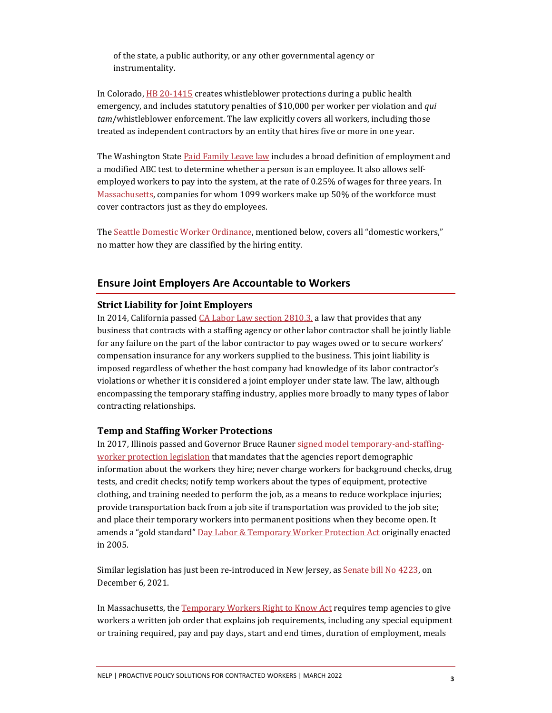of the state, a public authority, or any other governmental agency or instrumentality.

In Colorado, [HB 20-1415](https://leg.colorado.gov/sites/default/files/documents/2020A/bills/2020a_1415_enr.pdf) creates whistleblower protections during a public health emergency, and includes statutory penalties of \$10,000 per worker per violation and *qui tam*/whistleblower enforcement. The law explicitly covers all workers, including those treated as independent contractors by an entity that hires five or more in one year.

The Washington State [Paid Family Leave law](https://app.leg.wa.gov/RCW/default.aspx?cite=50A.05.010) includes a broad definition of employment and a modified ABC test to determine whether a person is an employee. It also allows selfemployed workers to pay into the system, at the rate of 0.25% of wages for three years. In [Massachusetts,](https://www.mass.gov/info-details/paid-family-and-medical-leave-coverage-for-self-employed-individuals) companies for whom 1099 workers make up 50% of the workforce must cover contractors just as they do employees.

Th[e Seattle Domestic Worker Ordinance,](https://library.municode.com/wa/seattle/codes/municipal_code?nodeId=TIT14HURI_CH14.23DOWO) mentioned below, covers all "domestic workers," no matter how they are classified by the hiring entity.

## **Ensure Joint Employers Are Accountable to Workers**

#### **Strict Liability for Joint Employers**

In 2014, California passed [CA Labor Law section 2810.3,](https://leginfo.legislature.ca.gov/faces/codes_displaySection.xhtml?lawCode=LAB§ionNum=2810.3.) a law that provides that any business that contracts with a staffing agency or other labor contractor shall be jointly liable for any failure on the part of the labor contractor to pay wages owed or to secure workers' compensation insurance for any workers supplied to the business. This joint liability is imposed regardless of whether the host company had knowledge of its labor contractor's violations or whether it is considered a joint employer under state law. The law, although encompassing the temporary staffing industry, applies more broadly to many types of labor contracting relationships.

## **Temp and Staffing Worker Protections**

In 2017, Illinois passed and Governor Bruce Raune[r signed model temporary-and-staffing](https://www.ilga.gov/legislation/ilcs/ilcs3.asp?ActID=2417&ChapterID=68)[worker protection legislation](https://www.ilga.gov/legislation/ilcs/ilcs3.asp?ActID=2417&ChapterID=68) that mandates that the agencies report demographic information about the workers they hire; never charge workers for background checks, drug tests, and credit checks; notify temp workers about the types of equipment, protective clothing, and training needed to perform the job, as a means to reduce workplace injuries; provide transportation back from a job site if transportation was provided to the job site; and place their temporary workers into permanent positions when they become open. It amends a "gold standard[" Day Labor & Temporary Worker Protection Act](https://www.ilga.gov/legislation/ilcs/ilcs3.asp?ActID=2417&ChapterID=68) originally enacted in 2005.

Similar legislation has just been re-introduced in New Jersey, as [Senate bill No 4223,](https://legiscan.com/NJ/bill/S4223/2020) on December 6, 2021.

In Massachusetts, th[e Temporary Workers Right to Know Act](https://malegislature.gov/Laws/SessionLaws/Acts/2012/Chapter225) requires temp agencies to give workers a written job order that explains job requirements, including any special equipment or training required, pay and pay days, start and end times, duration of employment, meals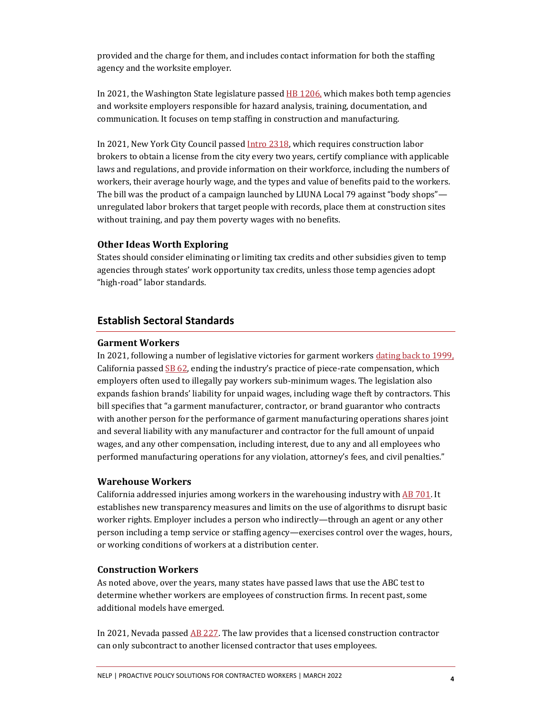provided and the charge for them, and includes contact information for both the staffing agency and the worksite employer.

In 2021, the Washington State legislature passed [HB 1206,](file://Users/rebeccasmith/Downloads/pp.leg.wa.gov/billsummary%3fBillNumber=1206&Initiative=False&Year=2021&utm_medium=email&utm_source=govdelivery) which makes both temp agencies and worksite employers responsible for hazard analysis, training, documentation, and communication. It focuses on temp staffing in construction and manufacturing.

In 2021, New York City Council passe[d Intro 2318,](https://legistar.council.nyc.gov/LegislationDetail.aspx?ID=4966517&GUID=23CA198A-0612-439D-AB54-14065535D735&Options=ID%7cText%7c&Search=labor) which requires construction labor brokers to obtain a license from the city every two years, certify compliance with applicable laws and regulations, and provide information on their workforce, including the numbers of workers, their average hourly wage, and the types and value of benefits paid to the workers. The bill was the product of a campaign launched by LIUNA Local 79 against "body shops" unregulated labor brokers that target people with records, place them at construction sites without training, and pay them poverty wages with no benefits.

#### **Other Ideas Worth Exploring**

States should consider eliminating or limiting tax credits and other subsidies given to temp agencies through states' work opportunity tax credits, unless those temp agencies adopt "high-road" labor standards.

# **Establish Sectoral Standards**

#### **Garment Workers**

In 2021, following a number of legislative victories for garment workers [dating back to 1999,](http://garmentworkeract.org/) California passed  $SB$  62, ending the industry's practice of piece-rate compensation, which employers often used to illegally pay workers sub-minimum wages. The legislation also expands fashion brands' liability for unpaid wages, including wage theft by contractors. This bill specifies that "a garment manufacturer, contractor, or brand guarantor who contracts with another person for the performance of garment manufacturing operations shares joint and several liability with any manufacturer and contractor for the full amount of unpaid wages, and any other compensation, including interest, due to any and all employees who performed manufacturing operations for any violation, attorney's fees, and civil penalties."

## **Warehouse Workers**

California addressed injuries among workers in the warehousing industry with [AB 701.](https://leginfo.legislature.ca.gov/faces/billNavClient.xhtml?bill_id=202120220AB701) It establishes new transparency measures and limits on the use of algorithms to disrupt basic worker rights. Employer includes a person who indirectly—through an agent or any other person including a temp service or staffing agency—exercises control over the wages, hours, or working conditions of workers at a distribution center.

#### **Construction Workers**

As noted above, over the years, many states have passed laws that use the ABC test to determine whether workers are employees of construction firms. In recent past, some additional models have emerged.

In 2021, Nevada passe[d AB 227.](https://www.leg.state.nv.us/App/NELIS/REL/81st2021/Bill/7666/Text) The law provides that a licensed construction contractor can only subcontract to another licensed contractor that uses employees.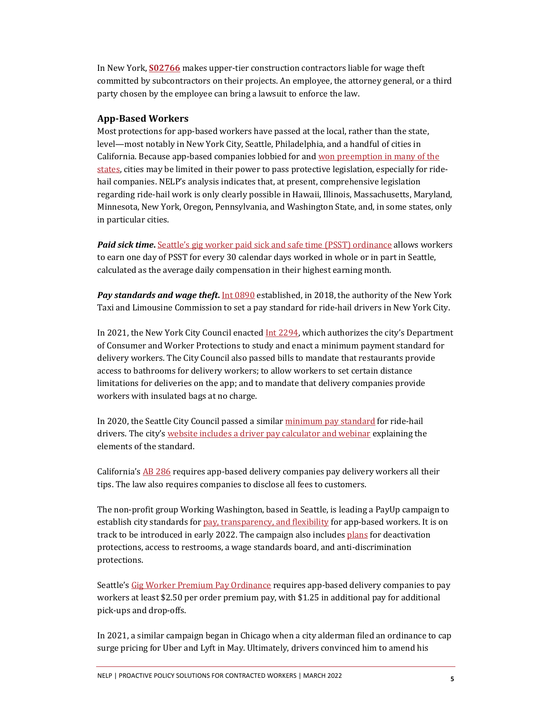In New York, **[S02766](https://assembly.state.ny.us/leg/?default_fld=&bn=S02766&term=2021&Summary=Y&Actions=Y&Text=Y&Committee%26nbspVotes=Y&Floor%26nbspVotes=Y)** makes upper-tier construction contractors liable for wage theft committed by subcontractors on their projects. An employee, the attorney general, or a third party chosen by the employee can bring a lawsuit to enforce the law.

## **App-Based Workers**

Most protections for app-based workers have passed at the local, rather than the state, level—most notably in New York City, Seattle, Philadelphia, and a handful of cities in California. Because app-based companies lobbied for an[d won preemption in many of the](https://www.nelp.org/publication/rights-at-risk-gig-companies-campaign-to-upend-employment-as-we-know-it/)  [states,](https://www.nelp.org/publication/rights-at-risk-gig-companies-campaign-to-upend-employment-as-we-know-it/) cities may be limited in their power to pass protective legislation, especially for ridehail companies. NELP's analysis indicates that, at present, comprehensive legislation regarding ride-hail work is only clearly possible in Hawaii, Illinois, Massachusetts, Maryland, Minnesota, New York, Oregon, Pennsylvania, and Washington State, and, in some states, only in particular cities.

*Paid sick time***.** [Seattle's gig worker paid sick and safe time \(PSST\) ordinance](https://www.seattle.gov/Documents/Departments/LaborStandards/126091%20Code%20Reviser%20Version.pdf) allows workers to earn one day of PSST for every 30 calendar days worked in whole or in part in Seattle, calculated as the average daily compensation in their highest earning month.

*Pay standards and wage theft***.** [Int 0890](https://legistar.council.nyc.gov/LegislationDetail.aspx?ID=3487613&GUID=E47BF280-2CAC-45AE-800F-ED5BE846EFF4&Options=&Search=) established, in 2018, the authority of the New York Taxi and Limousine Commission to set a pay standard for ride-hail drivers in New York City.

In 2021, the New York City Council enacte[d Int 2294,](https://legistar.council.nyc.gov/LegislationDetail.aspx?ID=4927204&GUID=FCEA3CE8-8F00-4C8C-9AF1-588EA076E797&Options=ID%7CText%7C&Search=delivery) which authorizes the city's Department of Consumer and Worker Protections to study and enact a minimum payment standard for delivery workers. The City Council also passed bills to mandate that restaurants provide access to bathrooms for delivery workers; to allow workers to set certain distance limitations for deliveries on the app; and to mandate that delivery companies provide workers with insulated bags at no charge.

In 2020, the Seattle City Council passed a simila[r minimum pay standard](https://library.municode.com/wa/seattle/codes/municipal_code?nodeId=TIT14HURI_CH14.33TRNECODRMICO) for ride-hail drivers. The city's [website includes a driver pay calculator and webinar](https://www.seattle.gov/laborstandards/ordinances/tnc-legislation/minimum-compensation-ordinance) explaining the elements of the standard.

California'[s AB 286](https://leginfo.legislature.ca.gov/faces/billTextClient.xhtml?bill_id=202120220AB286) requires app-based delivery companies pay delivery workers all their tips. The law also requires companies to disclose all fees to customers.

The non-profit group Working Washington, based in Seattle, is leading a PayUp campaign to establish city standards fo[r pay, transparency, and flexibility](http://seattle.legistar.com/View.ashx?M=F&ID=9807040&GUID=37A102E2-3BC3-4C31-B254-29949A73DB42) for app-based workers. It is on track to be introduced in early 2022. The campaign also include[s plans](http://seattle.legistar.com/View.ashx?M=F&ID=9806723&GUID=6076830B-3A0A-4102-9F2C-6F3B6C0716BE) for deactivation protections, access to restrooms, a wage standards board, and anti-discrimination protections.

Seattle's [Gig Worker Premium Pay Ordinance](https://www.seattle.gov/Documents/Departments/LaborStandards/LEG%20Premium%20Pay%20for%20Gig%20Workers%20ORD_D) requires app-based delivery companies to pay workers at least \$2.50 per order premium pay, with \$1.25 in additional pay for additional pick-ups and drop-offs.

In 2021, a similar campaign began in Chicago when a city alderman filed an ordinance to cap surge pricing for Uber and Lyft in May. Ultimately, drivers convinced him to amend his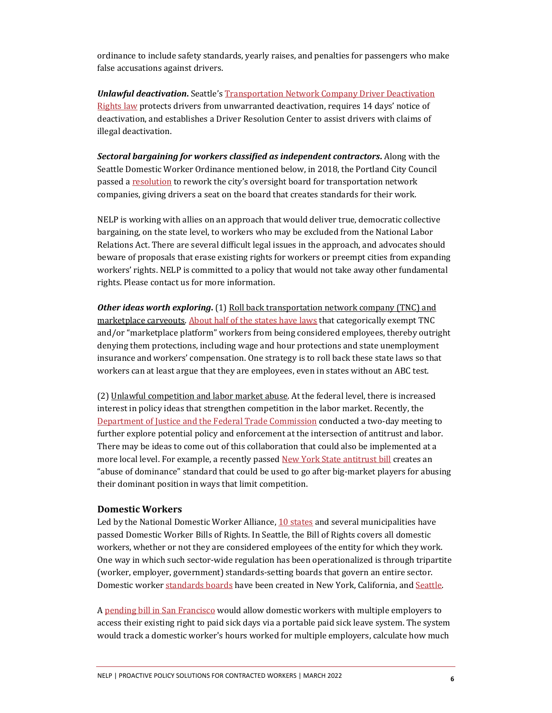ordinance to include safety standards, yearly raises, and penalties for passengers who make false accusations against drivers.

*Unlawful deactivation***.** Seattle'[s Transportation Network Company Driver Deactivation](https://library.municode.com/wa/seattle/codes/municipal_code?nodeId=TIT14HURI_CH14.32TRNECODRDERI&showChanges=true)  [Rights law](https://library.municode.com/wa/seattle/codes/municipal_code?nodeId=TIT14HURI_CH14.32TRNECODRDERI&showChanges=true) protects drivers from unwarranted deactivation, requires 14 days' notice of deactivation, and establishes a Driver Resolution Center to assist drivers with claims of illegal deactivation.

*Sectoral bargaining for workers classified as independent contractors***.** Along with the Seattle Domestic Worker Ordinance mentioned below, in 2018, the Portland City Council passed [a resolution](https://efiles.portlandoregon.gov/Record/12007464/) to rework the city's oversight board for transportation network companies, giving drivers a seat on the board that creates standards for their work.

NELP is working with allies on an approach that would deliver true, democratic collective bargaining, on the state level, to workers who may be excluded from the National Labor Relations Act. There are several difficult legal issues in the approach, and advocates should beware of proposals that erase existing rights for workers or preempt cities from expanding workers' rights. NELP is committed to a policy that would not take away other fundamental rights. Please contact us for more information.

*Other ideas worth exploring***.** (1) Roll back transportation network company (TNC) and marketplace carveouts. [About half of the states have laws](https://s27147.pcdn.co/wp-content/uploads/Rights-at-Risk-4-2-19.pdf.) that categorically exempt TNC and/or "marketplace platform" workers from being considered employees, thereby outright denying them protections, including wage and hour protections and state unemployment insurance and workers' compensation. One strategy is to roll back these state laws so that workers can at least argue that they are employees, even in states without an ABC test.

(2) Unlawful competition and labor market abuse. At the federal level, there is increased interest in policy ideas that strengthen competition in the labor market. Recently, the [Department of Justice and the Federal Trade Commission](https://www.ftc.gov/news-events/events-calendar/making-competition-work-promoting-competition-labor-markets) conducted a two-day meeting to further explore potential policy and enforcement at the intersection of antitrust and labor. There may be ideas to come out of this collaboration that could also be implemented at a more local level. For example, a recently passed New York [State antitrust bill](https://legislation.nysenate.gov/pdf/bills/2021/S933A) creates an "abuse of dominance" standard that could be used to go after big-market players for abusing their dominant position in ways that limit competition.

### **Domestic Workers**

Led by the National Domestic Worker Alliance, 10 [states](https://www.domesticworkers.org/programs-and-campaigns/developing-policy-solutions/bill-of-rights/passed-legislation/) and several municipalities have passed Domestic Worker Bills of Rights. In Seattle, the Bill of Rights covers all domestic workers, whether or not they are considered employees of the entity for which they work. One way in which such sector-wide regulation has been operationalized is through tripartite (worker, employer, government) standards-setting boards that govern an entire sector. Domestic worker [standards boards](https://crsreports.congress.gov/product/pdf/R/R46765) have been created in New York, California, an[d Seattle.](https://www.seattle.gov/domestic-workers-standards-board) 

[A pending bill in San Francisco](https://sfgov.legistar.com/LegislationDetail.aspx?ID=5199187&GUID=D3FC92DB-080D-4993-A189-E53210AC99D6&Options=ID%7CText%7C&Search=) would allow domestic workers with multiple employers to access their existing right to paid sick days via a portable paid sick leave system. The system would track a domestic worker's hours worked for multiple employers, calculate how much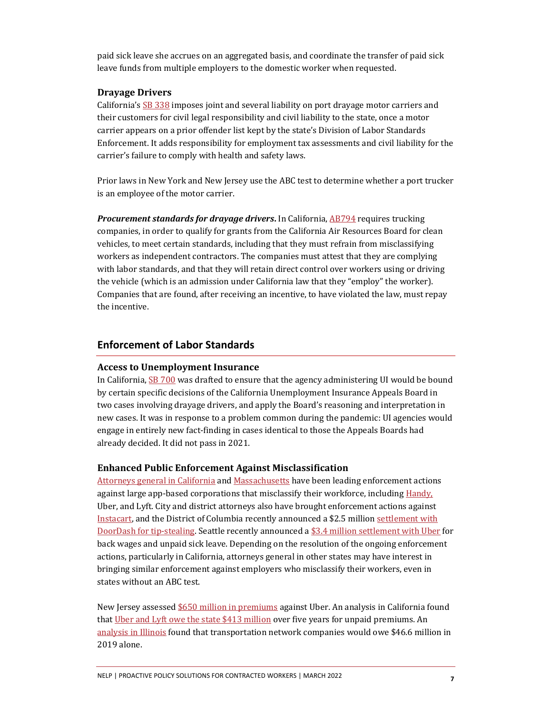paid sick leave she accrues on an aggregated basis, and coordinate the transfer of paid sick leave funds from multiple employers to the domestic worker when requested.

#### **Drayage Drivers**

California'[s SB 338](https://leginfo.legislature.ca.gov/faces/billTextClient.xhtml?bill_id=202120220SB338) imposes joint and several liability on port drayage motor carriers and their customers for civil legal responsibility and civil liability to the state, once a motor carrier appears on a prior offender list kept by the state's Division of Labor Standards Enforcement. It adds responsibility for employment tax assessments and civil liability for the carrier's failure to comply with health and safety laws.

Prior laws in New York and New Jersey use the ABC test to determine whether a port trucker is an employee of the motor carrier.

**Procurement standards for drayage drivers.** In California, **AB794** requires trucking companies, in order to qualify for grants from the California Air Resources Board for clean vehicles, to meet certain standards, including that they must refrain from misclassifying workers as independent contractors. The companies must attest that they are complying with labor standards, and that they will retain direct control over workers using or driving the vehicle (which is an admission under California law that they "employ" the worker). Companies that are found, after receiving an incentive, to have violated the law, must repay the incentive.

# **Enforcement of Labor Standards**

## **Access to Unemployment Insurance**

In California, [SB 700](https://legiscan.com/CA/text/SB700/2021) was drafted to ensure that the agency administering UI would be bound by certain specific decisions of the California Unemployment Insurance Appeals Board in two cases involving drayage drivers, and apply the Board's reasoning and interpretation in new cases. It was in response to a problem common during the pandemic: UI agencies would engage in entirely new fact-finding in cases identical to those the Appeals Boards had already decided. It did not pass in 2021.

## **Enhanced Public Enforcement Against Misclassification**

[Attorneys general in California](https://www.law.com/therecorder/2020/08/10/sf-judge-grants-injunction-forcing-uber-lyft-to-reclassify-drivers-as-employees/?slreturn=20200922140306) an[d Massachusetts](https://www.nytimes.com/2020/07/14/technology/massachusetts-sues-uber-lyft.html) have been leading enforcement actions against large app-based corporations that misclassify their workforce, includin[g Handy,](https://www.law.com/therecorder/2021/03/17/california-district-attorneys-accuse-gig-company-handy-of-misclassifying-workers/?slreturn=20210921144941) Uber, and Lyft. City and district attorneys also have brought enforcement actions against [Instacart,](https://www.kpbs.org/news/economy/2020/02/25/san-diego-wins-suit-against-instacart-over-worker) and the District of Columbia recently announced a \$2.5 millio[n settlement with](https://www.washingtonpost.com/local/public-safety/doordash-settles-dc-lawsuit-for-25-million-after-allegedly-pocketing-workers-tips/2020/11/24/b36e3f00-2e92-11eb-9c71-ccf2c0b8d571_story.html)  [DoorDash for](https://www.washingtonpost.com/local/public-safety/doordash-settles-dc-lawsuit-for-25-million-after-allegedly-pocketing-workers-tips/2020/11/24/b36e3f00-2e92-11eb-9c71-ccf2c0b8d571_story.html) tip-stealing. Seattle recently announced [a \\$3.4 million settlement with Uber](https://www.geekwire.com/2021/uber-pay-3-4m-settlement-seattle-drivers-unpaid-sick-leave-back-wages/#:%7E:text=Seattle) for back wages and unpaid sick leave. Depending on the resolution of the ongoing enforcement actions, particularly in California, attorneys general in other states may have interest in bringing similar enforcement against employers who misclassify their workers, even in states without an ABC test.

New Jersey assesse[d \\$650 million in premiums](https://www.forbes.com/sites/jackkelly/2019/11/15/new-jersey-hit-uber-with-a-650-million-tax-bill-for-misclassifying-workers-is-this-the-start-of-a-war-against-gig-economy-companies/?sh=411f78a1646e) against Uber. An analysis in California found tha[t Uber and Lyft owe the state \\$413 million](https://laborcenter.berkeley.edu/what-would-uber-and-lyft-owe-to-the-state-unemployment-insurance-fund/) over five years for unpaid premiums. An [analysis in Illinois](https://uofi.app.box.com/s/6bb8rju8rmhtoq3qm8r2fn0krego3cwt) found that transportation network companies would owe \$46.6 million in 2019 alone.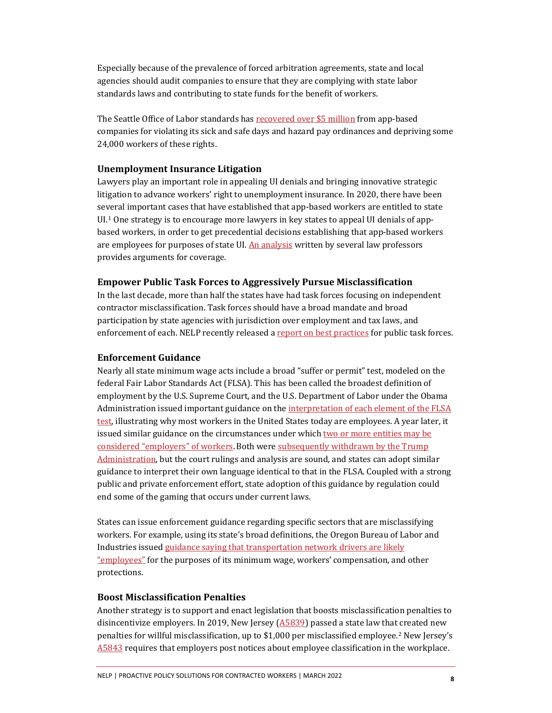Especially because of the prevalence of forced arbitration agreements, state and local agencies should audit companies to ensure that they are complying with state labor standards laws and contributing to state funds for the benefit of workers.

The Seattle Office of Labor standards ha[s recovered over \\$5 million](http://www.workingwa.org/blog/08/09/2021/ols-gig-settlements) from app-based companies for violating its sick and safe days and hazard pay ordinances and depriving some 24,000 workers of these rights.

### **Unemployment Insurance Litigation**

Lawyers play an important role in appealing UI denials and bringing innovative strategic litigation to advance workers' right to unemployment insurance. In 2020, there have been several important cases that have established that app-based workers are entitled to state  $UL<sup>1</sup>$  $UL<sup>1</sup>$  $UL<sup>1</sup>$  One strategy is to encourage more lawyers in key states to appeal UI denials of appbased workers, in order to get precedential decisions establishing that app-based workers are employees for purposes of state UI. [An analysis](https://www.nelp.org/wp-content/uploads/Open-Letter-State-UI-Agencies-Uber-Lyft-Drivers-v2.pdf) written by several law professors provides arguments for coverage.

#### **Empower Public Task Forces to Aggressively Pursue Misclassification**

In the last decade, more than half the states have had task forces focusing on independent contractor misclassification. Task forces should have a broad mandate and broad participation by state agencies with jurisdiction over employment and tax laws, and enforcement of each. NELP recently released [a report on best practices](https://www.nelp.org/publication/public-task-forces-take-on-employee-misclassification-best-practices/) for public task forces.

#### **Enforcement Guidance**

Nearly all state minimum wage acts include a broad "suffer or permit" test, modeled on the federal Fair Labor Standards Act (FLSA). This has been called the broadest definition of employment by the U.S. Supreme Court, and the U.S. Department of Labor under the Obama Administration issued important guidance on the [interpretation of each element of the FLSA](https://www.blr.com/html_email/AI2015-1.pdf)  [test,](https://www.blr.com/html_email/AI2015-1.pdf) illustrating why most workers in the United States today are employees. A year later, it issued similar guidance on the circumstances under which two or more entities may be [considered "employers" of workers.](http://src.bna.com/b7j)Both wer[e subsequently withdrawn by the Trump](https://www.bna.com/key-obama-workplace-n73014482084/)  [Administration,](https://www.bna.com/key-obama-workplace-n73014482084/) but the court rulings and analysis are sound, and states can adopt similar guidance to interpret their own language identical to that in the FLSA. Coupled with a strong public and private enforcement effort, state adoption of this guidance by regulation could end some of the gaming that occurs under current laws.

States can issue enforcement guidance regarding specific sectors that are misclassifying workers. For example, using its state's broad definitions, the Oregon Bureau of Labor and Industries issue[d guidance saying that transportation network drivers are likely](http://uberlawsuit.com/Oregon.pdf.)  ["employees"](http://uberlawsuit.com/Oregon.pdf.) for the purposes of its minimum wage, workers' compensation, and other protections.

#### **Boost Misclassification Penalties**

Another strategy is to support and enact legislation that boosts misclassification penalties to disincentivize employers. In 2019, New Jersey ( $\triangle$ 5839) passed a state law that created new penalties for willful misclassification, up to \$1,000 per misclassified employee.[2](#page-8-1) New Jersey's [A5843](https://legiscan.com/NJ/bill/A5843/2018) requires that employers post notices about employee classification in the workplace.